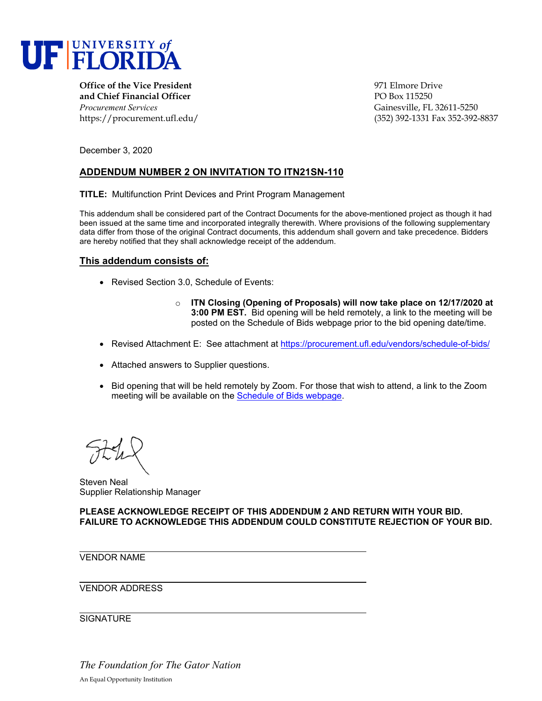

**Office of the Vice President** 971 Elmore Drive **and Chief Financial Officer PO Box 115250** *Procurement Services* Gainesville, FL 32611-5250

https://procurement.ufl.edu/ (352) 392-1331 Fax 352-392-8837

December 3, 2020

## **ADDENDUM NUMBER 2 ON INVITATION TO ITN21SN-110**

**TITLE:** Multifunction Print Devices and Print Program Management

This addendum shall be considered part of the Contract Documents for the above-mentioned project as though it had been issued at the same time and incorporated integrally therewith. Where provisions of the following supplementary data differ from those of the original Contract documents, this addendum shall govern and take precedence. Bidders are hereby notified that they shall acknowledge receipt of the addendum.

#### **This addendum consists of:**

- Revised Section 3.0, Schedule of Events:
	- o **ITN Closing (Opening of Proposals) will now take place on 12/17/2020 at 3:00 PM EST.** Bid opening will be held remotely, a link to the meeting will be posted on the Schedule of Bids webpage prior to the bid opening date/time.
- Revised Attachment E: See attachment at https://procurement.ufl.edu/vendors/schedule-of-bids/
- Attached answers to Supplier questions.
- Bid opening that will be held remotely by Zoom. For those that wish to attend, a link to the Zoom meeting will be available on the Schedule of Bids webpage.

Steven Neal Supplier Relationship Manager

**PLEASE ACKNOWLEDGE RECEIPT OF THIS ADDENDUM 2 AND RETURN WITH YOUR BID. FAILURE TO ACKNOWLEDGE THIS ADDENDUM COULD CONSTITUTE REJECTION OF YOUR BID.** 

VENDOR NAME

VENDOR ADDRESS

**SIGNATURE** 

*The Foundation for The Gator Nation*  An Equal Opportunity Institution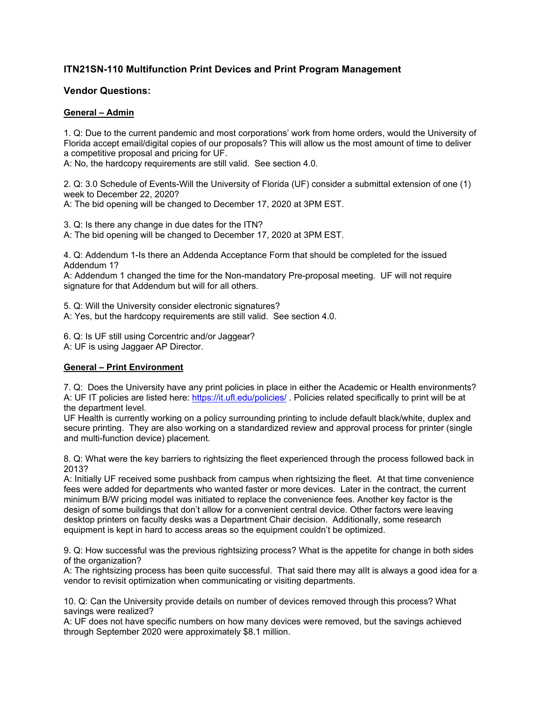# **ITN21SN-110 Multifunction Print Devices and Print Program Management**

## **Vendor Questions:**

### **General – Admin**

1. Q: Due to the current pandemic and most corporations' work from home orders, would the University of Florida accept email/digital copies of our proposals? This will allow us the most amount of time to deliver a competitive proposal and pricing for UF.

A: No, the hardcopy requirements are still valid. See section 4.0.

2. Q: 3.0 Schedule of Events-Will the University of Florida (UF) consider a submittal extension of one (1) week to December 22, 2020?

A: The bid opening will be changed to December 17, 2020 at 3PM EST.

3. Q: Is there any change in due dates for the ITN?

A: The bid opening will be changed to December 17, 2020 at 3PM EST.

4. Q: Addendum 1-Is there an Addenda Acceptance Form that should be completed for the issued Addendum 1?

A: Addendum 1 changed the time for the Non-mandatory Pre-proposal meeting. UF will not require signature for that Addendum but will for all others.

5. Q: Will the University consider electronic signatures?

A: Yes, but the hardcopy requirements are still valid. See section 4.0.

6. Q: Is UF still using Corcentric and/or Jaggear?

A: UF is using Jaggaer AP Director.

### **General – Print Environment**

7. Q: Does the University have any print policies in place in either the Academic or Health environments? A: UF IT policies are listed here: https://it.ufl.edu/policies/ . Policies related specifically to print will be at the department level.

UF Health is currently working on a policy surrounding printing to include default black/white, duplex and secure printing. They are also working on a standardized review and approval process for printer (single and multi-function device) placement.

8. Q: What were the key barriers to rightsizing the fleet experienced through the process followed back in 2013?

A: Initially UF received some pushback from campus when rightsizing the fleet. At that time convenience fees were added for departments who wanted faster or more devices. Later in the contract, the current minimum B/W pricing model was initiated to replace the convenience fees. Another key factor is the design of some buildings that don't allow for a convenient central device. Other factors were leaving desktop printers on faculty desks was a Department Chair decision. Additionally, some research equipment is kept in hard to access areas so the equipment couldn't be optimized.

9. Q: How successful was the previous rightsizing process? What is the appetite for change in both sides of the organization?

A: The rightsizing process has been quite successful. That said there may alIt is always a good idea for a vendor to revisit optimization when communicating or visiting departments.

10. Q: Can the University provide details on number of devices removed through this process? What savings were realized?

A: UF does not have specific numbers on how many devices were removed, but the savings achieved through September 2020 were approximately \$8.1 million.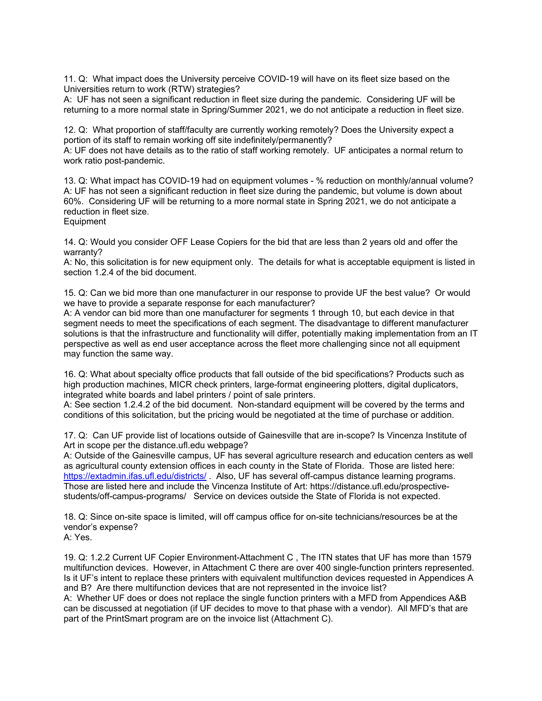11. Q: What impact does the University perceive COVID-19 will have on its fleet size based on the Universities return to work (RTW) strategies?

A: UF has not seen a significant reduction in fleet size during the pandemic. Considering UF will be returning to a more normal state in Spring/Summer 2021, we do not anticipate a reduction in fleet size.

12. Q: What proportion of staff/faculty are currently working remotely? Does the University expect a portion of its staff to remain working off site indefinitely/permanently?

A: UF does not have details as to the ratio of staff working remotely. UF anticipates a normal return to work ratio post-pandemic.

13. Q: What impact has COVID-19 had on equipment volumes - % reduction on monthly/annual volume? A: UF has not seen a significant reduction in fleet size during the pandemic, but volume is down about 60%. Considering UF will be returning to a more normal state in Spring 2021, we do not anticipate a reduction in fleet size.

**Equipment** 

14. Q: Would you consider OFF Lease Copiers for the bid that are less than 2 years old and offer the warranty?

A: No, this solicitation is for new equipment only. The details for what is acceptable equipment is listed in section 1.2.4 of the bid document.

15. Q: Can we bid more than one manufacturer in our response to provide UF the best value? Or would we have to provide a separate response for each manufacturer?

A: A vendor can bid more than one manufacturer for segments 1 through 10, but each device in that segment needs to meet the specifications of each segment. The disadvantage to different manufacturer solutions is that the infrastructure and functionality will differ, potentially making implementation from an IT perspective as well as end user acceptance across the fleet more challenging since not all equipment may function the same way.

16. Q: What about specialty office products that fall outside of the bid specifications? Products such as high production machines, MICR check printers, large-format engineering plotters, digital duplicators, integrated white boards and label printers / point of sale printers.

A: See section 1.2.4.2 of the bid document. Non-standard equipment will be covered by the terms and conditions of this solicitation, but the pricing would be negotiated at the time of purchase or addition.

17. Q: Can UF provide list of locations outside of Gainesville that are in-scope? Is Vincenza Institute of Art in scope per the distance.ufl.edu webpage?

A: Outside of the Gainesville campus, UF has several agriculture research and education centers as well as agricultural county extension offices in each county in the State of Florida. Those are listed here: https://extadmin.ifas.ufl.edu/districts/ . Also, UF has several off-campus distance learning programs. Those are listed here and include the Vincenza Institute of Art: https://distance.ufl.edu/prospectivestudents/off-campus-programs/ Service on devices outside the State of Florida is not expected.

18. Q: Since on-site space is limited, will off campus office for on-site technicians/resources be at the vendor's expense?

A: Yes.

19. Q: 1.2.2 Current UF Copier Environment-Attachment C , The ITN states that UF has more than 1579 multifunction devices. However, in Attachment C there are over 400 single-function printers represented. Is it UF's intent to replace these printers with equivalent multifunction devices requested in Appendices A and B? Are there multifunction devices that are not represented in the invoice list?

A: Whether UF does or does not replace the single function printers with a MFD from Appendices A&B can be discussed at negotiation (if UF decides to move to that phase with a vendor). All MFD's that are part of the PrintSmart program are on the invoice list (Attachment C).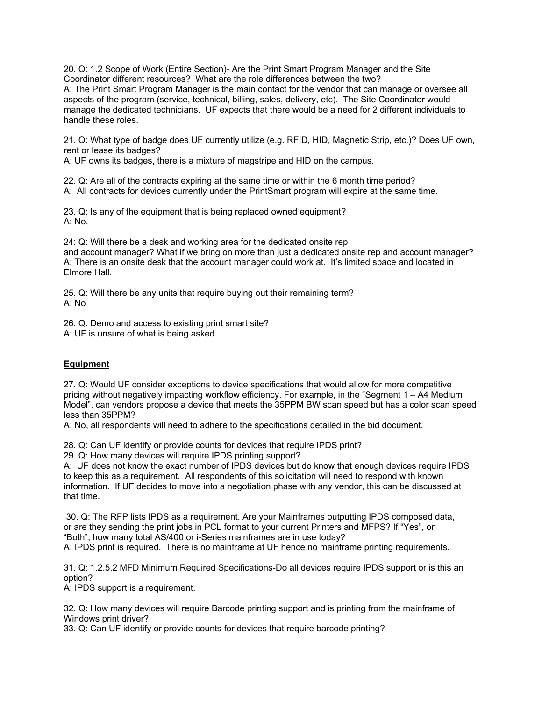20. Q: 1.2 Scope of Work (Entire Section)- Are the Print Smart Program Manager and the Site Coordinator different resources? What are the role differences between the two? A: The Print Smart Program Manager is the main contact for the vendor that can manage or oversee all aspects of the program (service, technical, billing, sales, delivery, etc). The Site Coordinator would manage the dedicated technicians. UF expects that there would be a need for 2 different individuals to handle these roles.

21. Q: What type of badge does UF currently utilize (e.g. RFID, HID, Magnetic Strip, etc.)? Does UF own, rent or lease its badges?

A: UF owns its badges, there is a mixture of magstripe and HID on the campus.

22. Q: Are all of the contracts expiring at the same time or within the 6 month time period? A: All contracts for devices currently under the PrintSmart program will expire at the same time.

23. Q: Is any of the equipment that is being replaced owned equipment? A: No.

24: Q: Will there be a desk and working area for the dedicated onsite rep and account manager? What if we bring on more than just a dedicated onsite rep and account manager? A: There is an onsite desk that the account manager could work at. It's limited space and located in Elmore Hall.

25. Q: Will there be any units that require buying out their remaining term? A: No

26. Q: Demo and access to existing print smart site? A: UF is unsure of what is being asked.

### **Equipment**

27. Q: Would UF consider exceptions to device specifications that would allow for more competitive pricing without negatively impacting workflow efficiency. For example, in the "Segment 1 – A4 Medium Model", can vendors propose a device that meets the 35PPM BW scan speed but has a color scan speed less than 35PPM?

A: No, all respondents will need to adhere to the specifications detailed in the bid document.

28. Q: Can UF identify or provide counts for devices that require IPDS print?

29. Q: How many devices will require IPDS printing support?

A: UF does not know the exact number of IPDS devices but do know that enough devices require IPDS to keep this as a requirement. All respondents of this solicitation will need to respond with known information. If UF decides to move into a negotiation phase with any vendor, this can be discussed at that time.

 30. Q: The RFP lists IPDS as a requirement. Are your Mainframes outputting IPDS composed data, or are they sending the print jobs in PCL format to your current Printers and MFPS? If "Yes", or "Both", how many total AS/400 or i-Series mainframes are in use today? A: IPDS print is required. There is no mainframe at UF hence no mainframe printing requirements.

31. Q: 1.2.5.2 MFD Minimum Required Specifications-Do all devices require IPDS support or is this an option?

A: IPDS support is a requirement.

32. Q: How many devices will require Barcode printing support and is printing from the mainframe of Windows print driver?

33. Q: Can UF identify or provide counts for devices that require barcode printing?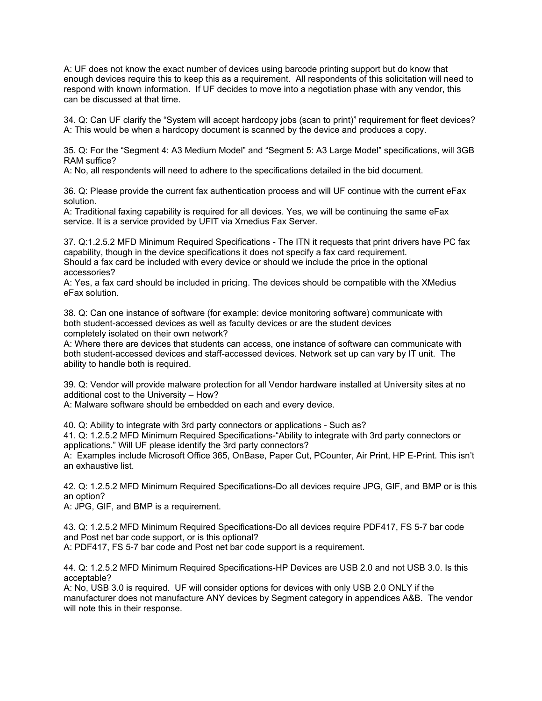A: UF does not know the exact number of devices using barcode printing support but do know that enough devices require this to keep this as a requirement. All respondents of this solicitation will need to respond with known information. If UF decides to move into a negotiation phase with any vendor, this can be discussed at that time.

34. Q: Can UF clarify the "System will accept hardcopy jobs (scan to print)" requirement for fleet devices? A: This would be when a hardcopy document is scanned by the device and produces a copy.

35. Q: For the "Segment 4: A3 Medium Model" and "Segment 5: A3 Large Model" specifications, will 3GB RAM suffice?

A: No, all respondents will need to adhere to the specifications detailed in the bid document.

36. Q: Please provide the current fax authentication process and will UF continue with the current eFax solution.

A: Traditional faxing capability is required for all devices. Yes, we will be continuing the same eFax service. It is a service provided by UFIT via Xmedius Fax Server.

37. Q:1.2.5.2 MFD Minimum Required Specifications - The ITN it requests that print drivers have PC fax capability, though in the device specifications it does not specify a fax card requirement. Should a fax card be included with every device or should we include the price in the optional accessories?

A: Yes, a fax card should be included in pricing. The devices should be compatible with the XMedius eFax solution.

38. Q: Can one instance of software (for example: device monitoring software) communicate with both student-accessed devices as well as faculty devices or are the student devices completely isolated on their own network?

A: Where there are devices that students can access, one instance of software can communicate with both student-accessed devices and staff-accessed devices. Network set up can vary by IT unit. The ability to handle both is required.

39. Q: Vendor will provide malware protection for all Vendor hardware installed at University sites at no additional cost to the University – How?

A: Malware software should be embedded on each and every device.

40. Q: Ability to integrate with 3rd party connectors or applications - Such as?

41. Q: 1.2.5.2 MFD Minimum Required Specifications-"Ability to integrate with 3rd party connectors or applications." Will UF please identify the 3rd party connectors?

A: Examples include Microsoft Office 365, OnBase, Paper Cut, PCounter, Air Print, HP E-Print. This isn't an exhaustive list.

42. Q: 1.2.5.2 MFD Minimum Required Specifications-Do all devices require JPG, GIF, and BMP or is this an option?

A: JPG, GIF, and BMP is a requirement.

43. Q: 1.2.5.2 MFD Minimum Required Specifications-Do all devices require PDF417, FS 5-7 bar code and Post net bar code support, or is this optional? A: PDF417, FS 5-7 bar code and Post net bar code support is a requirement.

44. Q: 1.2.5.2 MFD Minimum Required Specifications-HP Devices are USB 2.0 and not USB 3.0. Is this acceptable?

A: No, USB 3.0 is required. UF will consider options for devices with only USB 2.0 ONLY if the manufacturer does not manufacture ANY devices by Segment category in appendices A&B. The vendor will note this in their response.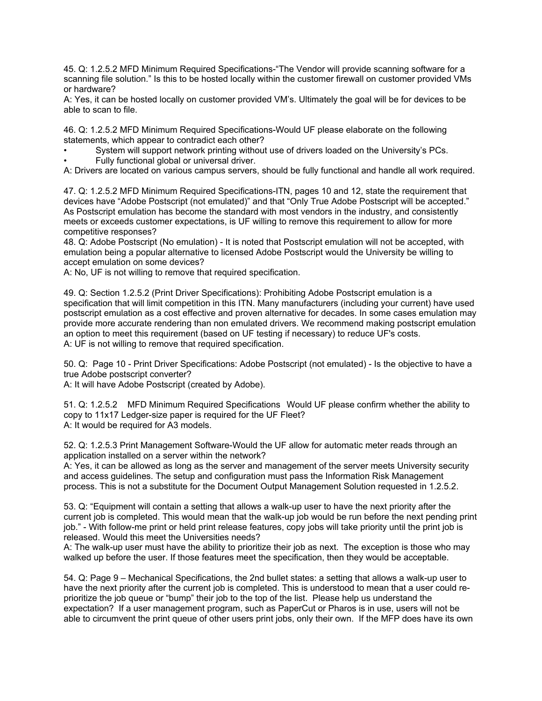45. Q: 1.2.5.2 MFD Minimum Required Specifications-"The Vendor will provide scanning software for a scanning file solution." Is this to be hosted locally within the customer firewall on customer provided VMs or hardware?

A: Yes, it can be hosted locally on customer provided VM's. Ultimately the goal will be for devices to be able to scan to file.

46. Q: 1.2.5.2 MFD Minimum Required Specifications-Would UF please elaborate on the following statements, which appear to contradict each other?

• System will support network printing without use of drivers loaded on the University's PCs. • Fully functional global or universal driver.

A: Drivers are located on various campus servers, should be fully functional and handle all work required.

47. Q: 1.2.5.2 MFD Minimum Required Specifications-ITN, pages 10 and 12, state the requirement that devices have "Adobe Postscript (not emulated)" and that "Only True Adobe Postscript will be accepted." As Postscript emulation has become the standard with most vendors in the industry, and consistently meets or exceeds customer expectations, is UF willing to remove this requirement to allow for more competitive responses?

48. Q: Adobe Postscript (No emulation) - It is noted that Postscript emulation will not be accepted, with emulation being a popular alternative to licensed Adobe Postscript would the University be willing to accept emulation on some devices?

A: No, UF is not willing to remove that required specification.

49. Q: Section 1.2.5.2 (Print Driver Specifications): Prohibiting Adobe Postscript emulation is a specification that will limit competition in this ITN. Many manufacturers (including your current) have used postscript emulation as a cost effective and proven alternative for decades. In some cases emulation may provide more accurate rendering than non emulated drivers. We recommend making postscript emulation an option to meet this requirement (based on UF testing if necessary) to reduce UF's costs. A: UF is not willing to remove that required specification.

50. Q: Page 10 - Print Driver Specifications: Adobe Postscript (not emulated) - Is the objective to have a true Adobe postscript converter?

A: It will have Adobe Postscript (created by Adobe).

51. Q: 1.2.5.2 MFD Minimum Required Specifications Would UF please confirm whether the ability to copy to 11x17 Ledger-size paper is required for the UF Fleet? A: It would be required for A3 models.

52. Q: 1.2.5.3 Print Management Software-Would the UF allow for automatic meter reads through an application installed on a server within the network?

A: Yes, it can be allowed as long as the server and management of the server meets University security and access guidelines. The setup and configuration must pass the Information Risk Management process. This is not a substitute for the Document Output Management Solution requested in 1.2.5.2.

53. Q: "Equipment will contain a setting that allows a walk-up user to have the next priority after the current job is completed. This would mean that the walk-up job would be run before the next pending print job." - With follow-me print or held print release features, copy jobs will take priority until the print job is released. Would this meet the Universities needs?

A: The walk-up user must have the ability to prioritize their job as next. The exception is those who may walked up before the user. If those features meet the specification, then they would be acceptable.

54. Q: Page 9 – Mechanical Specifications, the 2nd bullet states: a setting that allows a walk-up user to have the next priority after the current job is completed. This is understood to mean that a user could reprioritize the job queue or "bump" their job to the top of the list. Please help us understand the expectation? If a user management program, such as PaperCut or Pharos is in use, users will not be able to circumvent the print queue of other users print jobs, only their own. If the MFP does have its own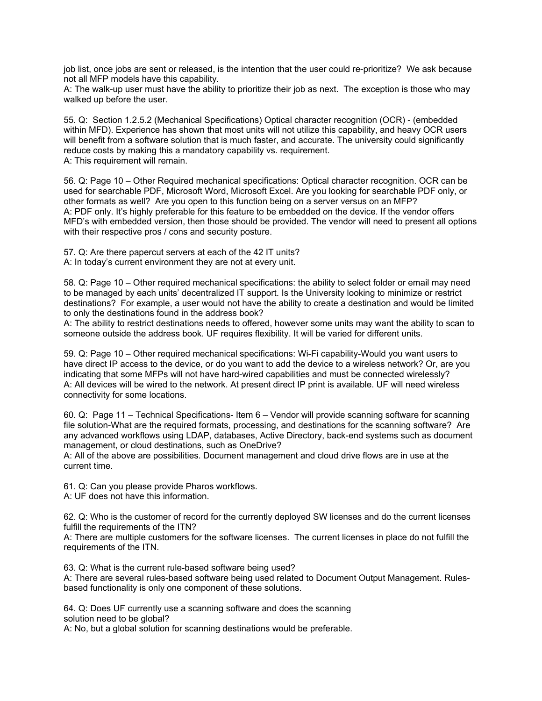job list, once jobs are sent or released, is the intention that the user could re-prioritize? We ask because not all MFP models have this capability.

A: The walk-up user must have the ability to prioritize their job as next. The exception is those who may walked up before the user.

55. Q: Section 1.2.5.2 (Mechanical Specifications) Optical character recognition (OCR) - (embedded within MFD). Experience has shown that most units will not utilize this capability, and heavy OCR users will benefit from a software solution that is much faster, and accurate. The university could significantly reduce costs by making this a mandatory capability vs. requirement. A: This requirement will remain.

56. Q: Page 10 – Other Required mechanical specifications: Optical character recognition. OCR can be used for searchable PDF, Microsoft Word, Microsoft Excel. Are you looking for searchable PDF only, or other formats as well? Are you open to this function being on a server versus on an MFP? A: PDF only. It's highly preferable for this feature to be embedded on the device. If the vendor offers MFD's with embedded version, then those should be provided. The vendor will need to present all options with their respective pros / cons and security posture.

57. Q: Are there papercut servers at each of the 42 IT units? A: In today's current environment they are not at every unit.

58. Q: Page 10 – Other required mechanical specifications: the ability to select folder or email may need to be managed by each units' decentralized IT support. Is the University looking to minimize or restrict destinations? For example, a user would not have the ability to create a destination and would be limited to only the destinations found in the address book?

A: The ability to restrict destinations needs to offered, however some units may want the ability to scan to someone outside the address book. UF requires flexibility. It will be varied for different units.

59. Q: Page 10 – Other required mechanical specifications: Wi-Fi capability-Would you want users to have direct IP access to the device, or do you want to add the device to a wireless network? Or, are you indicating that some MFPs will not have hard-wired capabilities and must be connected wirelessly? A: All devices will be wired to the network. At present direct IP print is available. UF will need wireless connectivity for some locations.

60. Q: Page 11 – Technical Specifications- Item 6 – Vendor will provide scanning software for scanning file solution-What are the required formats, processing, and destinations for the scanning software? Are any advanced workflows using LDAP, databases, Active Directory, back-end systems such as document management, or cloud destinations, such as OneDrive?

A: All of the above are possibilities. Document management and cloud drive flows are in use at the current time.

61. Q: Can you please provide Pharos workflows.

A: UF does not have this information.

62. Q: Who is the customer of record for the currently deployed SW licenses and do the current licenses fulfill the requirements of the ITN?

A: There are multiple customers for the software licenses. The current licenses in place do not fulfill the requirements of the ITN.

63. Q: What is the current rule-based software being used?

A: There are several rules-based software being used related to Document Output Management. Rulesbased functionality is only one component of these solutions.

64. Q: Does UF currently use a scanning software and does the scanning solution need to be global?

A: No, but a global solution for scanning destinations would be preferable.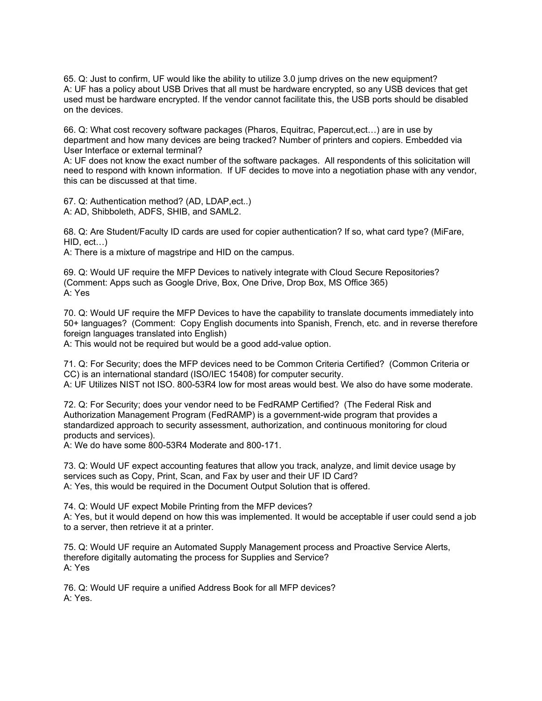65. Q: Just to confirm, UF would like the ability to utilize 3.0 jump drives on the new equipment? A: UF has a policy about USB Drives that all must be hardware encrypted, so any USB devices that get used must be hardware encrypted. If the vendor cannot facilitate this, the USB ports should be disabled on the devices.

66. Q: What cost recovery software packages (Pharos, Equitrac, Papercut,ect…) are in use by department and how many devices are being tracked? Number of printers and copiers. Embedded via User Interface or external terminal?

A: UF does not know the exact number of the software packages. All respondents of this solicitation will need to respond with known information. If UF decides to move into a negotiation phase with any vendor, this can be discussed at that time.

67. Q: Authentication method? (AD, LDAP,ect..) A: AD, Shibboleth, ADFS, SHIB, and SAML2.

68. Q: Are Student/Faculty ID cards are used for copier authentication? If so, what card type? (MiFare, HID, ect…)

A: There is a mixture of magstripe and HID on the campus.

69. Q: Would UF require the MFP Devices to natively integrate with Cloud Secure Repositories? (Comment: Apps such as Google Drive, Box, One Drive, Drop Box, MS Office 365) A: Yes

70. Q: Would UF require the MFP Devices to have the capability to translate documents immediately into 50+ languages? (Comment: Copy English documents into Spanish, French, etc. and in reverse therefore foreign languages translated into English)

A: This would not be required but would be a good add-value option.

71. Q: For Security; does the MFP devices need to be Common Criteria Certified? (Common Criteria or CC) is an international standard (ISO/IEC 15408) for computer security. A: UF Utilizes NIST not ISO. 800-53R4 low for most areas would best. We also do have some moderate.

72. Q: For Security; does your vendor need to be FedRAMP Certified? (The Federal Risk and Authorization Management Program (FedRAMP) is a government-wide program that provides a standardized approach to security assessment, authorization, and continuous monitoring for cloud products and services).

A: We do have some 800-53R4 Moderate and 800-171.

73. Q: Would UF expect accounting features that allow you track, analyze, and limit device usage by services such as Copy, Print, Scan, and Fax by user and their UF ID Card? A: Yes, this would be required in the Document Output Solution that is offered.

74. Q: Would UF expect Mobile Printing from the MFP devices? A: Yes, but it would depend on how this was implemented. It would be acceptable if user could send a job to a server, then retrieve it at a printer.

75. Q: Would UF require an Automated Supply Management process and Proactive Service Alerts, therefore digitally automating the process for Supplies and Service? A: Yes

76. Q: Would UF require a unified Address Book for all MFP devices? A: Yes.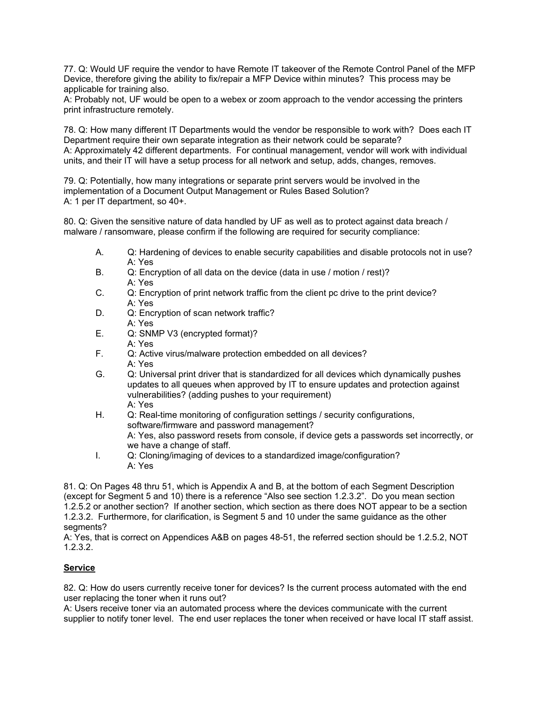77. Q: Would UF require the vendor to have Remote IT takeover of the Remote Control Panel of the MFP Device, therefore giving the ability to fix/repair a MFP Device within minutes? This process may be applicable for training also.

A: Probably not, UF would be open to a webex or zoom approach to the vendor accessing the printers print infrastructure remotely.

78. Q: How many different IT Departments would the vendor be responsible to work with? Does each IT Department require their own separate integration as their network could be separate? A: Approximately 42 different departments. For continual management, vendor will work with individual units, and their IT will have a setup process for all network and setup, adds, changes, removes.

79. Q: Potentially, how many integrations or separate print servers would be involved in the implementation of a Document Output Management or Rules Based Solution? A: 1 per IT department, so 40+.

80. Q: Given the sensitive nature of data handled by UF as well as to protect against data breach / malware / ransomware, please confirm if the following are required for security compliance:

- A. Q: Hardening of devices to enable security capabilities and disable protocols not in use? A: Yes
- B. Q: Encryption of all data on the device (data in use / motion / rest)? A: Yes
- C. Q: Encryption of print network traffic from the client pc drive to the print device? A: Yes
- D. Q: Encryption of scan network traffic? A: Yes
- E. Q: SNMP V3 (encrypted format)? A: Yes
- F. Q: Active virus/malware protection embedded on all devices? A: Yes
- G. Q: Universal print driver that is standardized for all devices which dynamically pushes updates to all queues when approved by IT to ensure updates and protection against vulnerabilities? (adding pushes to your requirement) A: Yes
- H. Q: Real-time monitoring of configuration settings / security configurations, software/firmware and password management? A: Yes, also password resets from console, if device gets a passwords set incorrectly, or we have a change of staff.
- I. Q: Cloning/imaging of devices to a standardized image/configuration? A: Yes

81. Q: On Pages 48 thru 51, which is Appendix A and B, at the bottom of each Segment Description (except for Segment 5 and 10) there is a reference "Also see section 1.2.3.2". Do you mean section 1.2.5.2 or another section? If another section, which section as there does NOT appear to be a section 1.2.3.2. Furthermore, for clarification, is Segment 5 and 10 under the same guidance as the other segments?

A: Yes, that is correct on Appendices A&B on pages 48-51, the referred section should be 1.2.5.2, NOT 1.2.3.2.

### **Service**

82. Q: How do users currently receive toner for devices? Is the current process automated with the end user replacing the toner when it runs out?

A: Users receive toner via an automated process where the devices communicate with the current supplier to notify toner level. The end user replaces the toner when received or have local IT staff assist.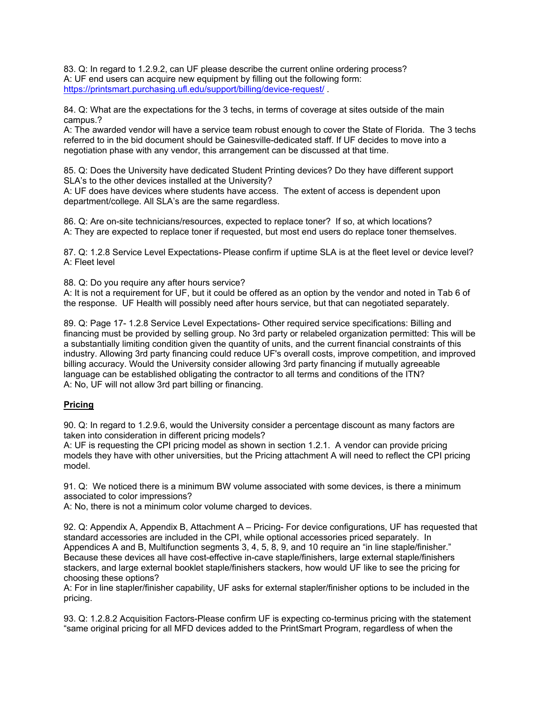83. Q: In regard to 1.2.9.2, can UF please describe the current online ordering process? A: UF end users can acquire new equipment by filling out the following form: https://printsmart.purchasing.ufl.edu/support/billing/device-request/

84. Q: What are the expectations for the 3 techs, in terms of coverage at sites outside of the main campus.?

A: The awarded vendor will have a service team robust enough to cover the State of Florida. The 3 techs referred to in the bid document should be Gainesville-dedicated staff. If UF decides to move into a negotiation phase with any vendor, this arrangement can be discussed at that time.

85. Q: Does the University have dedicated Student Printing devices? Do they have different support SLA's to the other devices installed at the University?

A: UF does have devices where students have access. The extent of access is dependent upon department/college. All SLA's are the same regardless.

86. Q: Are on-site technicians/resources, expected to replace toner? If so, at which locations? A: They are expected to replace toner if requested, but most end users do replace toner themselves.

87. Q: 1.2.8 Service Level Expectations- Please confirm if uptime SLA is at the fleet level or device level? A: Fleet level

88. Q: Do you require any after hours service?

A: It is not a requirement for UF, but it could be offered as an option by the vendor and noted in Tab 6 of the response. UF Health will possibly need after hours service, but that can negotiated separately.

89. Q: Page 17- 1.2.8 Service Level Expectations- Other required service specifications: Billing and financing must be provided by selling group. No 3rd party or relabeled organization permitted: This will be a substantially limiting condition given the quantity of units, and the current financial constraints of this industry. Allowing 3rd party financing could reduce UF's overall costs, improve competition, and improved billing accuracy. Would the University consider allowing 3rd party financing if mutually agreeable language can be established obligating the contractor to all terms and conditions of the ITN? A: No, UF will not allow 3rd part billing or financing.

### **Pricing**

90. Q: In regard to 1.2.9.6, would the University consider a percentage discount as many factors are taken into consideration in different pricing models?

A: UF is requesting the CPI pricing model as shown in section 1.2.1. A vendor can provide pricing models they have with other universities, but the Pricing attachment A will need to reflect the CPI pricing model.

91. Q: We noticed there is a minimum BW volume associated with some devices, is there a minimum associated to color impressions?

A: No, there is not a minimum color volume charged to devices.

92. Q: Appendix A, Appendix B, Attachment A – Pricing- For device configurations, UF has requested that standard accessories are included in the CPI, while optional accessories priced separately. In Appendices A and B, Multifunction segments 3, 4, 5, 8, 9, and 10 require an "in line staple/finisher." Because these devices all have cost-effective in-cave staple/finishers, large external staple/finishers stackers, and large external booklet staple/finishers stackers, how would UF like to see the pricing for choosing these options?

A: For in line stapler/finisher capability, UF asks for external stapler/finisher options to be included in the pricing.

93. Q: 1.2.8.2 Acquisition Factors-Please confirm UF is expecting co-terminus pricing with the statement "same original pricing for all MFD devices added to the PrintSmart Program, regardless of when the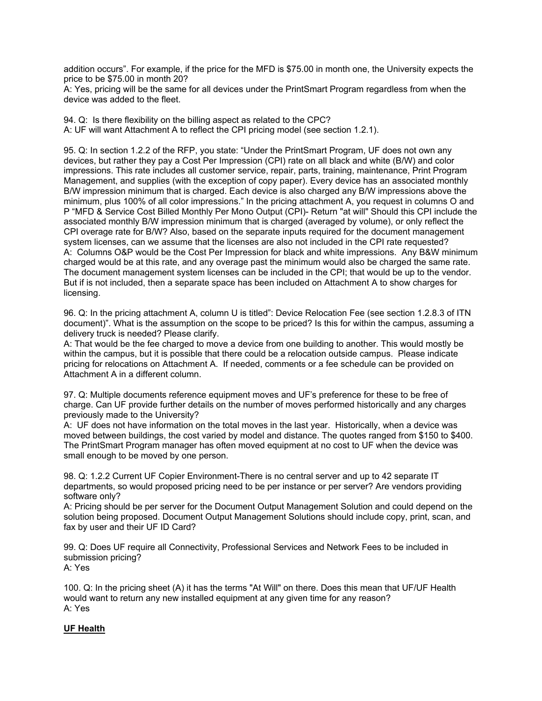addition occurs". For example, if the price for the MFD is \$75.00 in month one, the University expects the price to be \$75.00 in month 20?

A: Yes, pricing will be the same for all devices under the PrintSmart Program regardless from when the device was added to the fleet.

94. Q: Is there flexibility on the billing aspect as related to the CPC? A: UF will want Attachment A to reflect the CPI pricing model (see section 1.2.1).

95. Q: In section 1.2.2 of the RFP, you state: "Under the PrintSmart Program, UF does not own any devices, but rather they pay a Cost Per Impression (CPI) rate on all black and white (B/W) and color impressions. This rate includes all customer service, repair, parts, training, maintenance, Print Program Management, and supplies (with the exception of copy paper). Every device has an associated monthly B/W impression minimum that is charged. Each device is also charged any B/W impressions above the minimum, plus 100% of all color impressions." In the pricing attachment A, you request in columns O and P "MFD & Service Cost Billed Monthly Per Mono Output (CPI)- Return "at will" Should this CPI include the associated monthly B/W impression minimum that is charged (averaged by volume), or only reflect the CPI overage rate for B/W? Also, based on the separate inputs required for the document management system licenses, can we assume that the licenses are also not included in the CPI rate requested? A: Columns O&P would be the Cost Per Impression for black and white impressions. Any B&W minimum charged would be at this rate, and any overage past the minimum would also be charged the same rate. The document management system licenses can be included in the CPI; that would be up to the vendor. But if is not included, then a separate space has been included on Attachment A to show charges for licensing.

96. Q: In the pricing attachment A, column U is titled": Device Relocation Fee (see section 1.2.8.3 of ITN document)". What is the assumption on the scope to be priced? Is this for within the campus, assuming a delivery truck is needed? Please clarify.

A: That would be the fee charged to move a device from one building to another. This would mostly be within the campus, but it is possible that there could be a relocation outside campus. Please indicate pricing for relocations on Attachment A. If needed, comments or a fee schedule can be provided on Attachment A in a different column.

97. Q: Multiple documents reference equipment moves and UF's preference for these to be free of charge. Can UF provide further details on the number of moves performed historically and any charges previously made to the University?

A: UF does not have information on the total moves in the last year. Historically, when a device was moved between buildings, the cost varied by model and distance. The quotes ranged from \$150 to \$400. The PrintSmart Program manager has often moved equipment at no cost to UF when the device was small enough to be moved by one person.

98. Q: 1.2.2 Current UF Copier Environment-There is no central server and up to 42 separate IT departments, so would proposed pricing need to be per instance or per server? Are vendors providing software only?

A: Pricing should be per server for the Document Output Management Solution and could depend on the solution being proposed. Document Output Management Solutions should include copy, print, scan, and fax by user and their UF ID Card?

99. Q: Does UF require all Connectivity, Professional Services and Network Fees to be included in submission pricing?

A: Yes

100. Q: In the pricing sheet (A) it has the terms "At Will" on there. Does this mean that UF/UF Health would want to return any new installed equipment at any given time for any reason? A: Yes

#### **UF Health**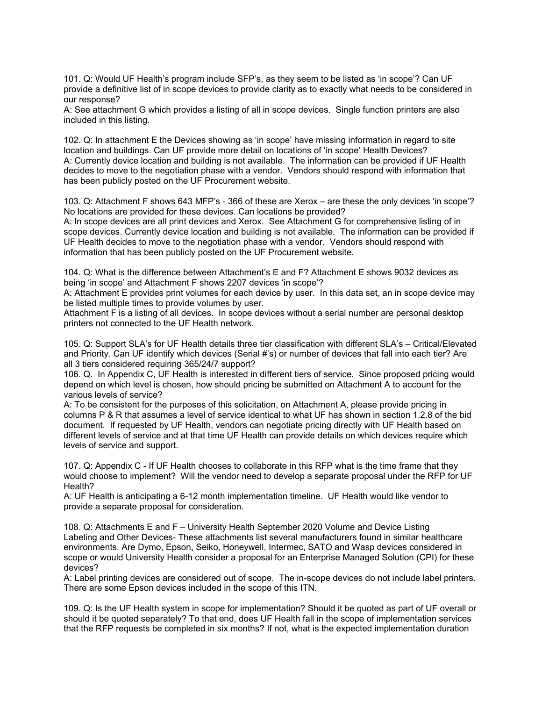101. Q: Would UF Health's program include SFP's, as they seem to be listed as 'in scope'? Can UF provide a definitive list of in scope devices to provide clarity as to exactly what needs to be considered in our response?

A: See attachment G which provides a listing of all in scope devices. Single function printers are also included in this listing.

102. Q: In attachment E the Devices showing as 'in scope' have missing information in regard to site location and buildings. Can UF provide more detail on locations of 'in scope' Health Devices? A: Currently device location and building is not available. The information can be provided if UF Health decides to move to the negotiation phase with a vendor. Vendors should respond with information that has been publicly posted on the UF Procurement website.

103. Q: Attachment F shows 643 MFP's - 366 of these are Xerox – are these the only devices 'in scope'? No locations are provided for these devices. Can locations be provided?

A: In scope devices are all print devices and Xerox. See Attachment G for comprehensive listing of in scope devices. Currently device location and building is not available. The information can be provided if UF Health decides to move to the negotiation phase with a vendor. Vendors should respond with information that has been publicly posted on the UF Procurement website.

104. Q: What is the difference between Attachment's E and F? Attachment E shows 9032 devices as being 'in scope' and Attachment F shows 2207 devices 'in scope'?

A: Attachment E provides print volumes for each device by user. In this data set, an in scope device may be listed multiple times to provide volumes by user.

Attachment F is a listing of all devices. In scope devices without a serial number are personal desktop printers not connected to the UF Health network.

105. Q: Support SLA's for UF Health details three tier classification with different SLA's – Critical/Elevated and Priority. Can UF identify which devices (Serial #'s) or number of devices that fall into each tier? Are all 3 tiers considered requiring 365/24/7 support?

106. Q. In Appendix C, UF Health is interested in different tiers of service. Since proposed pricing would depend on which level is chosen, how should pricing be submitted on Attachment A to account for the various levels of service?

A: To be consistent for the purposes of this solicitation, on Attachment A, please provide pricing in columns P & R that assumes a level of service identical to what UF has shown in section 1.2.8 of the bid document. If requested by UF Health, vendors can negotiate pricing directly with UF Health based on different levels of service and at that time UF Health can provide details on which devices require which levels of service and support.

107. Q: Appendix C - If UF Health chooses to collaborate in this RFP what is the time frame that they would choose to implement? Will the vendor need to develop a separate proposal under the RFP for UF Health?

A: UF Health is anticipating a 6-12 month implementation timeline. UF Health would like vendor to provide a separate proposal for consideration.

108. Q: Attachments E and F – University Health September 2020 Volume and Device Listing Labeling and Other Devices- These attachments list several manufacturers found in similar healthcare environments. Are Dymo, Epson, Seiko, Honeywell, Intermec, SATO and Wasp devices considered in scope or would University Health consider a proposal for an Enterprise Managed Solution (CPI) for these devices?

A: Label printing devices are considered out of scope. The in-scope devices do not include label printers. There are some Epson devices included in the scope of this ITN.

109. Q: Is the UF Health system in scope for implementation? Should it be quoted as part of UF overall or should it be quoted separately? To that end, does UF Health fall in the scope of implementation services that the RFP requests be completed in six months? If not, what is the expected implementation duration